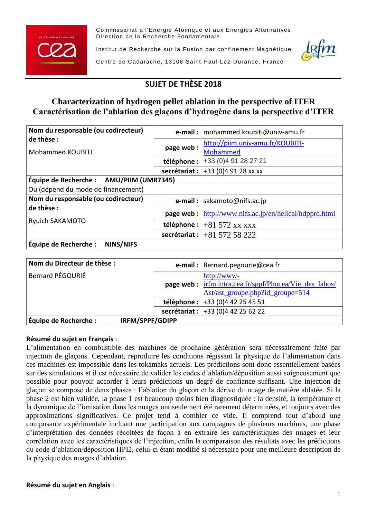

Commissariat à l'Energie Atomique et aux Energies Alternatives Direction de la Recherche Fondamentale

Institut de Recherche sur la Fusion par confinement Magnétique



Centre de Cadarache, 13108 Saint-Paul-Lez-Durance, France

# **SUJET DE THÈSE 2018**

## **Characterization of hydrogen pellet ablation in the perspective of ITER Caractérisation de l'ablation des glaçons d'hydrogène dans la perspective d'ITER**

| Nom du responsable (ou codirecteur)<br>de thèse : |             | <b>e-mail</b> :   mohammed.koubiti@univ-amu.fr                                                                        |  |
|---------------------------------------------------|-------------|-----------------------------------------------------------------------------------------------------------------------|--|
|                                                   | page web:   | http://piim.univ-amu.fr/KOUBITI-                                                                                      |  |
| <b>Mohammed KOUBITI</b>                           |             | <b>Mohammed</b>                                                                                                       |  |
|                                                   | téléphone : | +33 (0) 4 91 28 27 21                                                                                                 |  |
|                                                   |             | <b>secrétariat</b> : $+33$ (0)4 91 28 xx xx                                                                           |  |
| Équipe de Recherche : AMU/PIIM (UMR7345)          |             |                                                                                                                       |  |
| Ou (dépend du mode de financement)                |             |                                                                                                                       |  |
| Nom du responsable (ou codirecteur)               |             | <b>e-mail</b> : $ $ sakamoto@nifs.ac.jp                                                                               |  |
| de thèse :<br><b>Ryuich SAKAMOTO</b>              |             | <b>page web</b> : $\frac{http://www.nifs.ac.jp/en/helical/hdpprd.html}{http://www.nifs.ac.jp/en/helical/hdpprd.html}$ |  |
|                                                   |             | téléphone : $ +81572 \text{ xx xx}$                                                                                   |  |
|                                                   |             | secrétariat : $ +8157258222$                                                                                          |  |
| NINS/NIFS<br>Équipe de Recherche :                |             |                                                                                                                       |  |

| Nom du Directeur de thèse :              |  | <b>e-mail</b> :   Bernard.pegourie@cea.fr                               |
|------------------------------------------|--|-------------------------------------------------------------------------|
| Bernard PÉGOURIÉ                         |  | http://www-                                                             |
|                                          |  | <b>page web</b> : $\frac{irfm.intra.cea.fr/sppf/Photoea/Vie_des_labos/$ |
|                                          |  | Ast/ast_groupe.php?id_groupe=514                                        |
|                                          |  | téléphone : $+33(0)442254551$                                           |
|                                          |  | secrétariat : $+33$ (0)4 42 25 62 22                                    |
| Équipe de Recherche :<br>IRFM/SPPF/GDIPP |  |                                                                         |

### **Résumé du sujet en Français** :

L'alimentation en combustible des machines de prochaine génération sera nécessairement faite par injection de glaçons. Cependant, reproduire les conditions régissant la physique de l'alimentation dans ces machines est impossible dans les tokamaks actuels. Les prédictions sont donc essentiellement basées sur des simulations et il est nécessaire de valider les codes d'ablation/déposition aussi soigneusement que possible pour pouvoir accorder à leurs prédictions un degré de confiance suffisant. Une injection de glaçon se compose de deux phases : l'ablation du glaçon et la dérive du nuage de matière ablatée. Si la phase 2 est bien validée, la phase 1 est beaucoup moins bien diagnostiquée : la densité, la température et la dynamique de l'ionisation dans les nuages ont seulement été rarement déterminées, et toujours avec des approximations significatives. Ce projet tend à combler ce vide. Il comprend tout d'abord une composante expérimentale incluant une participation aux campagnes de plusieurs machines, une phase d'interprétation des données récoltées de façon à en extraire les caractéristiques des nuages et leur corrélation avec les caractéristiques de l'injection, enfin la comparaison des résultats avec les prédictions du code d'ablation/déposition HPI2, celui-ci étant modifié si nécessaire pour une meilleure description de la physique des nuages d'ablation.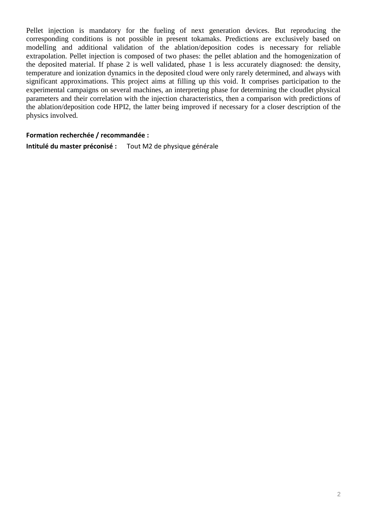Pellet injection is mandatory for the fueling of next generation devices. But reproducing the corresponding conditions is not possible in present tokamaks. Predictions are exclusively based on modelling and additional validation of the ablation/deposition codes is necessary for reliable extrapolation. Pellet injection is composed of two phases: the pellet ablation and the homogenization of the deposited material. If phase 2 is well validated, phase 1 is less accurately diagnosed: the density, temperature and ionization dynamics in the deposited cloud were only rarely determined, and always with significant approximations. This project aims at filling up this void. It comprises participation to the experimental campaigns on several machines, an interpreting phase for determining the cloudlet physical parameters and their correlation with the injection characteristics, then a comparison with predictions of the ablation/deposition code HPI2, the latter being improved if necessary for a closer description of the physics involved.

#### **Formation recherchée / recommandée :**

**Intitulé du master préconisé :** Tout M2 de physique générale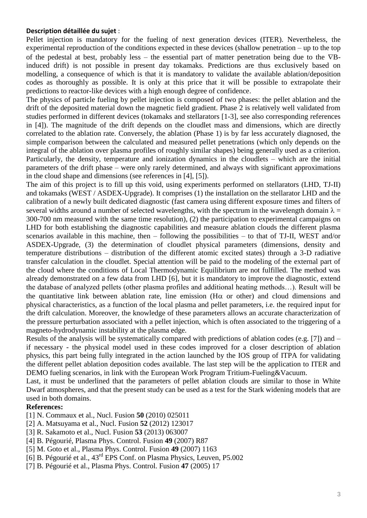#### **Description détaillée du sujet** :

Pellet injection is mandatory for the fueling of next generation devices (ITER). Nevertheless, the experimental reproduction of the conditions expected in these devices (shallow penetration – up to the top of the pedestal at best, probably less – the essential part of matter penetration being due to the  $\nabla B$ induced drift) is not possible in present day tokamaks. Predictions are thus exclusively based on modelling, a consequence of which is that it is mandatory to validate the available ablation/deposition codes as thoroughly as possible. It is only at this price that it will be possible to extrapolate their predictions to reactor-like devices with a high enough degree of confidence.

The physics of particle fueling by pellet injection is composed of two phases: the pellet ablation and the drift of the deposited material down the magnetic field gradient. Phase 2 is relatively well validated from studies performed in different devices (tokamaks and stellarators [1-3], see also corresponding references in [4]). The magnitude of the drift depends on the cloudlet mass and dimensions, which are directly correlated to the ablation rate. Conversely, the ablation (Phase 1) is by far less accurately diagnosed, the simple comparison between the calculated and measured pellet penetrations (which only depends on the integral of the ablation over plasma profiles of roughly similar shapes) being generally used as a criterion. Particularly, the density, temperature and ionization dynamics in the cloudlets – which are the initial parameters of the drift phase – were only rarely determined, and always with significant approximations in the cloud shape and dimensions (see references in [4], [5]).

The aim of this project is to fill up this void, using experiments performed on stellarators (LHD, TJ-II) and tokamaks (WEST / ASDEX-Upgrade). It comprises (1) the installation on the stellarator LHD and the calibration of a newly built dedicated diagnostic (fast camera using different exposure times and filters of several widths around a number of selected wavelengths, with the spectrum in the wavelength domain  $\lambda =$ 300-700 nm measured with the same time resolution), (2) the participation to experimental campaigns on LHD for both establishing the diagnostic capabilities and measure ablation clouds the different plasma scenarios available in this machine, then – following the possibilities – to that of TJ-II, WEST and/or ASDEX-Upgrade, (3) the determination of cloudlet physical parameters (dimensions, density and temperature distributions – distribution of the different atomic excited states) through a 3-D radiative transfer calculation in the cloudlet. Special attention will be paid to the modeling of the external part of the cloud where the conditions of Local Thermodynamic Equilibrium are not fulfilled. The method was already demonstrated on a few data from LHD [6], but it is mandatory to improve the diagnostic, extend the database of analyzed pellets (other plasma profiles and additional heating methods…). Result will be the quantitative link between ablation rate, line emission ( $H\alpha$  or other) and cloud dimensions and physical characteristics, as a function of the local plasma and pellet parameters, i.e. the required input for the drift calculation. Moreover, the knowledge of these parameters allows an accurate characterization of the pressure perturbation associated with a pellet injection, which is often associated to the triggering of a magneto-hydrodynamic instability at the plasma edge.

Results of the analysis will be systematically compared with predictions of ablation codes (e.g. [7]) and – if necessary - the physical model used in these codes improved for a closer description of ablation physics, this part being fully integrated in the action launched by the IOS group of ITPA for validating the different pellet ablation deposition codes available. The last step will be the application to ITER and DEMO fueling scenarios, in link with the European Work Program Tritium-Fueling&Vacuum.

Last, it must be underlined that the parameters of pellet ablation clouds are similar to those in White Dwarf atmospheres, and that the present study can be used as a test for the Stark widening models that are used in both domains.

#### **References:**

- [1] N. Commaux et al., Nucl. Fusion **50** (2010) 025011
- [2] A. Matsuyama et al., Nucl. Fusion **52** (2012) 123017
- [3] R. Sakamoto et al., Nucl. Fusion **53** (2013) 063007
- [4] B. Pégourié, Plasma Phys. Control. Fusion **49** (2007) R87
- [5] M. Goto et al., Plasma Phys. Control. Fusion **49** (2007) 1163
- [6] B. Pégourié et al., 43rd EPS Conf. on Plasma Physics, Leuven, P5.002
- [7] B. Pégourié et al., Plasma Phys. Control. Fusion **47** (2005) 17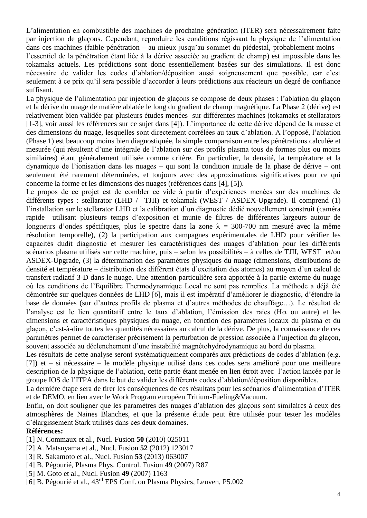L'alimentation en combustible des machines de prochaine génération (ITER) sera nécessairement faite par injection de glaçons. Cependant, reproduire les conditions régissant la physique de l'alimentation dans ces machines (faible pénétration – au mieux jusqu'au sommet du piédestal, probablement moins – l'essentiel de la pénétration étant liée à la dérive associée au gradient de champ) est impossible dans les tokamaks actuels. Les prédictions sont donc essentiellement basées sur des simulations. Il est donc nécessaire de valider les codes d'ablation/déposition aussi soigneusement que possible, car c'est seulement à ce prix qu'il sera possible d'accorder à leurs prédictions aux réacteurs un degré de confiance suffisant.

La physique de l'alimentation par injection de glaçons se compose de deux phases : l'ablation du glaçon et la dérive du nuage de matière ablatée le long du gradient de champ magnétique. La Phase 2 (dérive) est relativement bien validée par plusieurs études menées sur différentes machines (tokamaks et stellarators [1-3], voir aussi les références sur ce sujet dans [4]). L'importance de cette dérive dépend de la masse et des dimensions du nuage, lesquelles sont directement corrélées au taux d'ablation. A l'opposé, l'ablation (Phase 1) est beaucoup moins bien diagnostiquée, la simple comparaison entre les pénétrations calculée et mesurée (qui résultent d'une intégrale de l'ablation sur des profils plasma tous de formes plus ou moins similaires) étant généralement utilisée comme critère. En particulier, la densité, la température et la dynamique de l'ionisation dans les nuages – qui sont la condition initiale de la phase de dérive – ont seulement été rarement déterminées, et toujours avec des approximations significatives pour ce qui concerne la forme et les dimensions des nuages (références dans [4], [5]).

Le propos de ce projet est de combler ce vide à partir d'expériences menées sur des machines de différents types : stellarator (LHD / TJII) et tokamak (WEST / ASDEX-Upgrade). Il comprend (1) l'installation sur le stellarator LHD et la calibration d'un diagnostic dédié nouvellement construit (caméra rapide utilisant plusieurs temps d'exposition et munie de filtres de différentes largeurs autour de longueurs d'ondes spécifiques, plus le spectre dans la zone  $\lambda = 300$ -700 nm mesuré avec la même résolution temporelle), (2) la participation aux campagnes expérimentales de LHD pour vérifier les capacités dudit diagnostic et mesurer les caractéristiques des nuages d'ablation pour les différents scénarios plasma utilisés sur cette machine, puis – selon les possibilités – à celles de TJII, WEST et/ou ASDEX-Upgrade, (3) la détermination des paramètres physiques du nuage (dimensions, distributions de densité et température – distribution des différent états d'excitation des atomes) au moyen d'un calcul de transfert radiatif 3-D dans le nuage. Une attention particulière sera apportée à la partie externe du nuage où les conditions de l'Equilibre Thermodynamique Local ne sont pas remplies. La méthode a déjà été démontrée sur quelques données de LHD [6], mais il est impératif d'améliorer le diagnostic, d'étendre la base de données (sur d'autres profils de plasma et d'autres méthodes de chauffage…). Le résultat de l'analyse est le lien quantitatif entre le taux d'ablation, l'émission des raies (H $\alpha$  ou autre) et les dimensions et caractéristiques physiques du nuage, en fonction des paramètres locaux du plasma et du glaçon, c'est-à-dire toutes les quantités nécessaires au calcul de la dérive. De plus, la connaissance de ces paramètres permet de caractériser précisément la perturbation de pression associée à l'injection du glaçon, souvent associée au déclenchement d'une instabilité magnétohydrodynamique au bord du plasma.

Les résultats de cette analyse seront systématiquement comparés aux prédictions de codes d'ablation (e.g. [7]) et – si nécessaire – le modèle physique utilisé dans ces codes sera amélioré pour une meilleure description de la physique de l'ablation, cette partie étant menée en lien étroit avec l'action lancée par le groupe IOS de l'ITPA dans le but de valider les différents codes d'ablation/déposition disponibles.

La dernière étape sera de tirer les conséquences de ces résultats pour les scénarios d'alimentation d'ITER et de DEMO, en lien avec le Work Program européen Tritium-Fueling&Vacuum.

Enfin, on doit souligner que les paramètres des nuages d'ablation des glaçons sont similaires à ceux des atmosphères de Naines Blanches, et que la présente étude peut être utilisée pour tester les modèles d'élargissement Stark utilisés dans ces deux domaines.

#### **Références:**

- [1] N. Commaux et al., Nucl. Fusion **50** (2010) 025011
- [2] A. Matsuyama et al., Nucl. Fusion **52** (2012) 123017
- [3] R. Sakamoto et al., Nucl. Fusion **53** (2013) 063007
- [4] B. Pégourié, Plasma Phys. Control. Fusion **49** (2007) R87
- [5] M. Goto et al., Nucl. Fusion **49** (2007) 1163
- [6] B. Pégourié et al., 43rd EPS Conf. on Plasma Physics, Leuven, P5.002